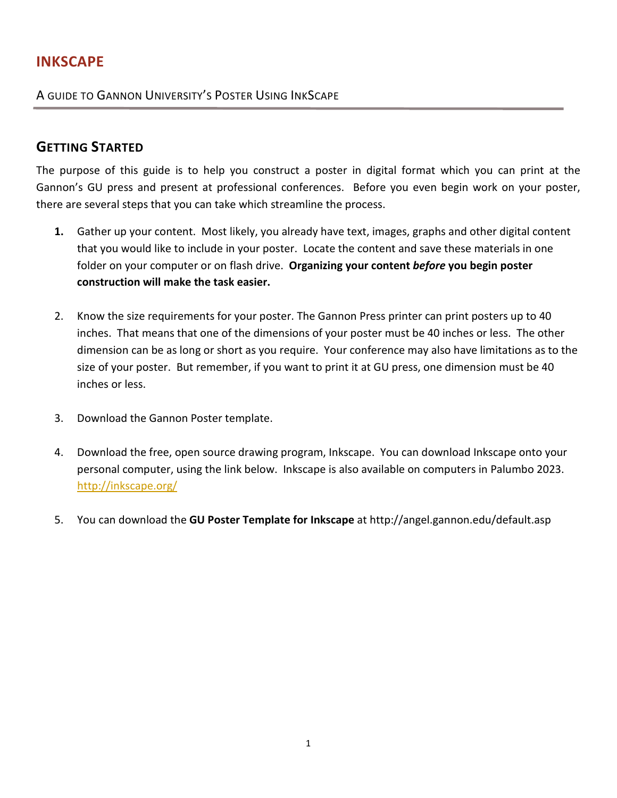# **INKSCAPE**

A GUIDE TO GANNON UNIVERSITY'S POSTER USING INKSCAPE

# **GETTING STARTED**

The purpose of this guide is to help you construct a poster in digital format which you can print at the Gannon's GU press and present at professional conferences. Before you even begin work on your poster, there are several steps that you can take which streamline the process.

- **1.** Gather up your content. Most likely, you already have text, images, graphs and other digital content that you would like to include in your poster. Locate the content and save these materials in one folder on your computer or on flash drive. **Organizing your content** *before* **you begin poster construction will make the task easier.**
- 2. Know the size requirements for your poster. The Gannon Press printer can print posters up to 40 inches. That means that one of the dimensions of your poster must be 40 inches or less. The other dimension can be as long or short as you require. Your conference may also have limitations as to the size of your poster. But remember, if you want to print it at GU press, one dimension must be 40 inches or less.
- 3. Download the Gannon Poster template.
- 4. Download the free, open source drawing program, Inkscape. You can download Inkscape onto your personal computer, using the link below. Inkscape is also available on computers in Palumbo 2023. <http://inkscape.org/>
- 5. You can download the **GU Poster Template for Inkscape** at http://angel.gannon.edu/default.asp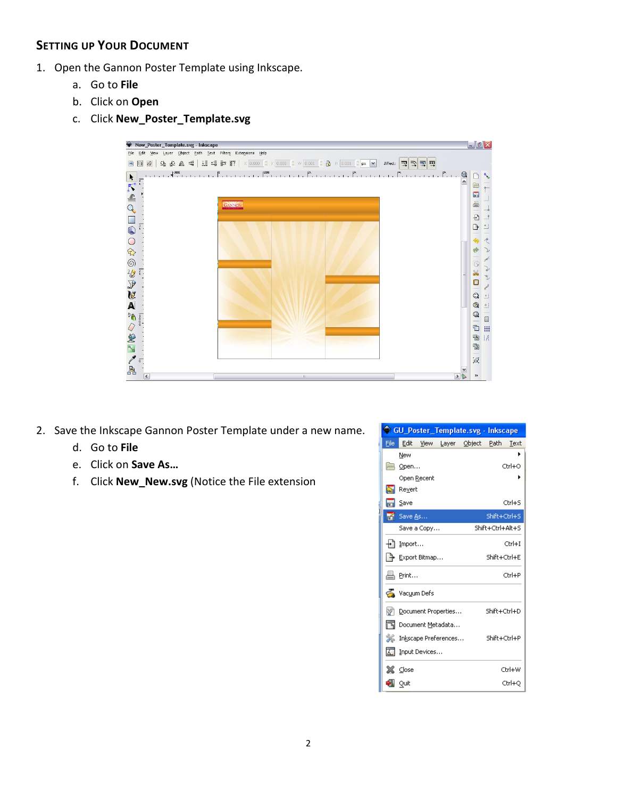# **SETTING UP YOUR DOCUMENT**

- 1. Open the Gannon Poster Template using Inkscape.
	- a. Go to **File**
	- b. Click on **Open**
	- c. Click **New\_Poster\_Template.svg**



- 2. Save the Inkscape Gannon Poster Template under a new name.
	- d. Go to **File**
	- e. Click on **Save As…**
	- f. Click **New\_New.svg** (Notice the File extension

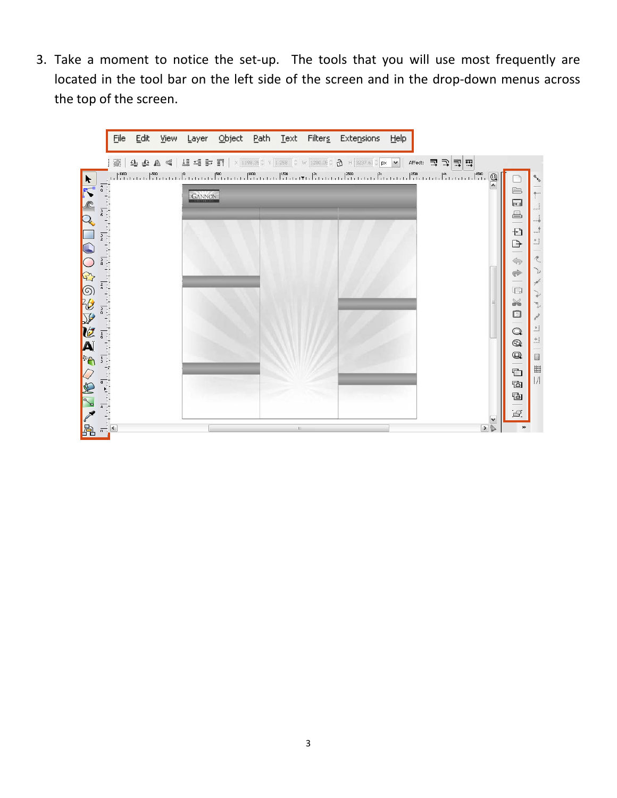3. Take a moment to notice the set-up. The tools that you will use most frequently are located in the tool bar on the left side of the screen and in the drop-down menus across the top of the screen.

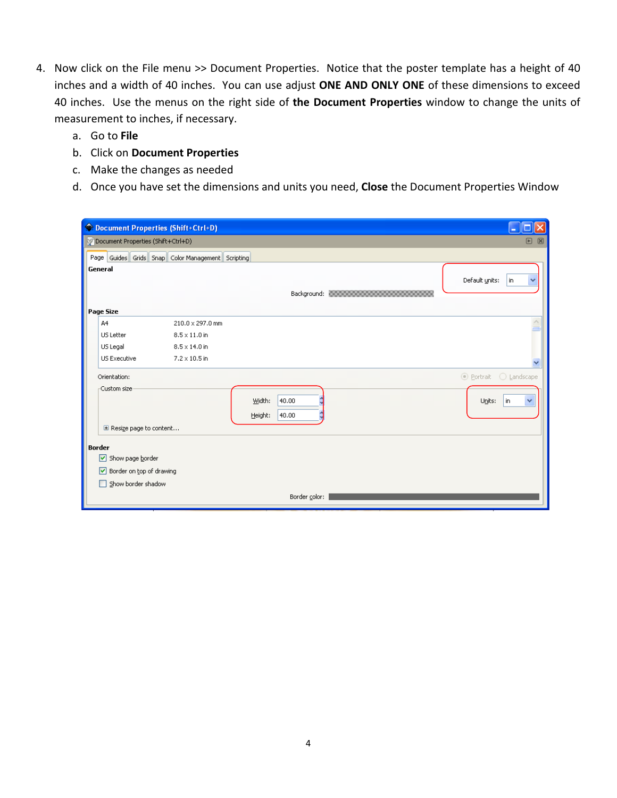- 4. Now click on the File menu >> Document Properties. Notice that the poster template has a height of 40 inches and a width of 40 inches. You can use adjust **ONE AND ONLY ONE** of these dimensions to exceed 40 inches. Use the menus on the right side of **the Document Properties** window to change the units of measurement to inches, if necessary.
	- a. Go to **File**
	- b. Click on **Document Properties**
	- c. Make the changes as needed
	- d. Once you have set the dimensions and units you need, **Close** the Document Properties Window

|               |                                                           | C Document Properties (Shift+Ctrl+D)              |                   |                |                                           |                            |  |
|---------------|-----------------------------------------------------------|---------------------------------------------------|-------------------|----------------|-------------------------------------------|----------------------------|--|
|               | p Document Properties (Shift+Ctrl+D)<br>$\boxtimes$<br> ■ |                                                   |                   |                |                                           |                            |  |
|               |                                                           | Page Guides Grids Snap Color Management Scripting |                   |                |                                           |                            |  |
| General       |                                                           |                                                   |                   |                | Background: 00000000000000000000000000000 | Default units:<br>in.<br>v |  |
|               | Page Size                                                 |                                                   |                   |                |                                           |                            |  |
|               | A4                                                        | 210.0 x 297.0 mm                                  |                   |                |                                           |                            |  |
|               | US Letter                                                 | $8.5 \times 11.0$ in                              |                   |                |                                           |                            |  |
|               | US Legal                                                  | $8.5 \times 14.0$ in                              |                   |                |                                           |                            |  |
|               | US Executive                                              | $7.2 \times 10.5$ in                              |                   |                |                                           |                            |  |
|               | Orientation:                                              |                                                   |                   |                |                                           | ⊙ Portrait ○ Landscape     |  |
|               | -Custom size                                              |                                                   | Width:<br>Height: | 40.00<br>40.00 |                                           | Units:<br>l in<br>v        |  |
|               | El Resize page to content                                 |                                                   |                   |                |                                           |                            |  |
| <b>Border</b> |                                                           |                                                   |                   |                |                                           |                            |  |
|               | ☑<br>Show page border                                     |                                                   |                   |                |                                           |                            |  |
|               | Border on top of drawing<br>罓                             |                                                   |                   |                |                                           |                            |  |
|               | Show border shadow<br>ш                                   |                                                   |                   |                |                                           |                            |  |
|               |                                                           |                                                   |                   | Border color:  |                                           |                            |  |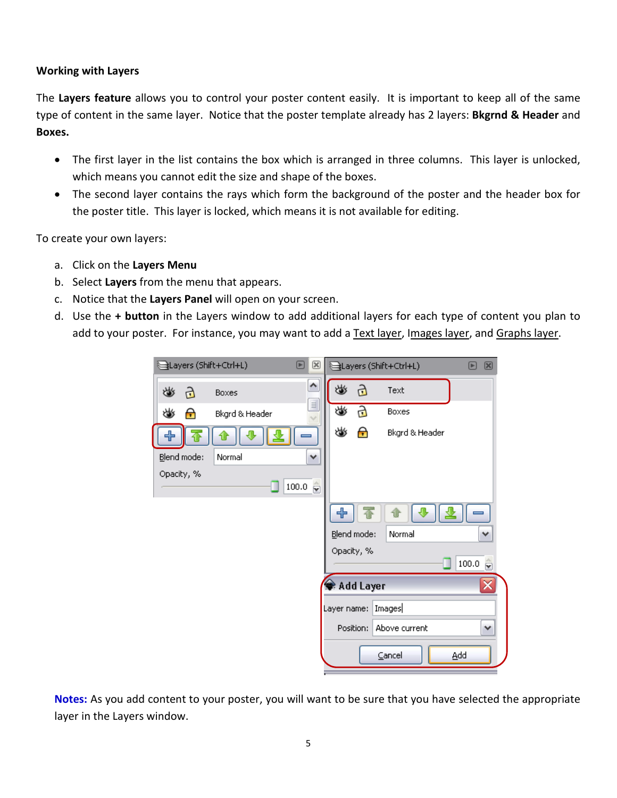#### **Working with Layers**

The **Layers feature** allows you to control your poster content easily. It is important to keep all of the same type of content in the same layer. Notice that the poster template already has 2 layers: **Bkgrnd & Header** and **Boxes.**

- The first layer in the list contains the box which is arranged in three columns. This layer is unlocked, which means you cannot edit the size and shape of the boxes.
- The second layer contains the rays which form the background of the poster and the header box for the poster title. This layer is locked, which means it is not available for editing.

To create your own layers:

- a. Click on the **Layers Menu**
- b. Select **Layers** from the menu that appears.
- c. Notice that the **Layers Panel** will open on your screen.
- d. Use the **+ button** in the Layers window to add additional layers for each type of content you plan to add to your poster. For instance, you may want to add a Text layer, Images layer, and Graphs layer.

| Layers (Shift+Ctrl+L)<br>╔<br>⊠                          | Layers (Shift+Ctrl+L)<br>$\boxtimes$<br>▣    |
|----------------------------------------------------------|----------------------------------------------|
| $\triangle$<br>当<br>යි<br><b>Boxes</b>                   | 迷<br>යි<br>Text                              |
| $\equiv$<br>♨<br>$\boldsymbol{\Theta}$<br>Bkgrd & Header | ♨<br>Ъ<br>Boxes                              |
| ╬                                                        | ♨<br>$\boldsymbol{\Theta}$<br>Bkgrd & Header |
| Blend mode:<br>Normal<br>٧                               |                                              |
| Opacity, %<br>$100.0 \frac{2}{5}$                        |                                              |
|                                                          | ╬                                            |
|                                                          | Blend mode:<br>Normal<br>$\checkmark$        |
|                                                          | Opacity, %                                   |
|                                                          | 100.0<br>û                                   |
|                                                          | Add Layer<br>×                               |
|                                                          | Images<br>Layer name:                        |
|                                                          | Above current<br>Position:<br>٧              |
|                                                          | Cancel<br>Add                                |

**Notes:** As you add content to your poster, you will want to be sure that you have selected the appropriate layer in the Layers window.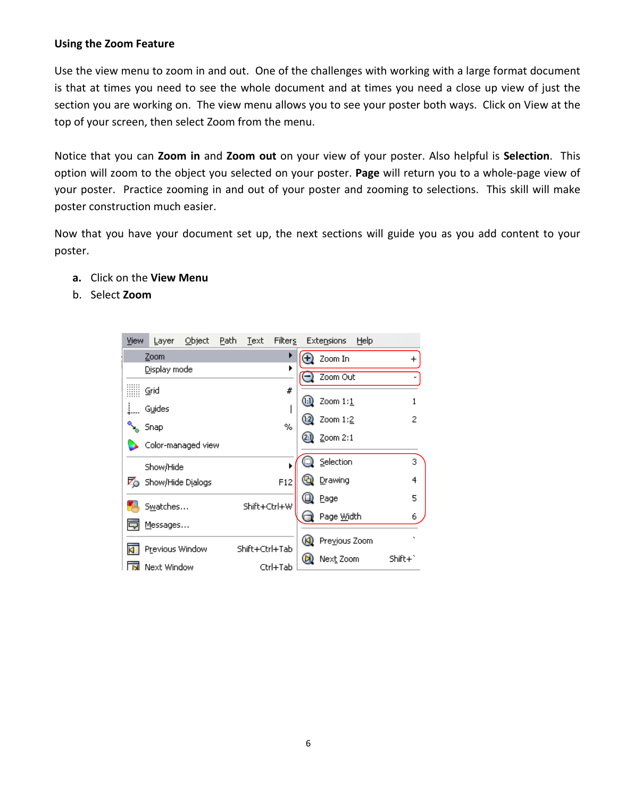#### **Using the Zoom Feature**

Use the view menu to zoom in and out. One of the challenges with working with a large format document is that at times you need to see the whole document and at times you need a close up view of just the section you are working on. The view menu allows you to see your poster both ways. Click on View at the top of your screen, then select Zoom from the menu.

Notice that you can **Zoom in** and **Zoom out** on your view of your poster. Also helpful is **Selection**. This option will zoom to the object you selected on your poster. **Page** will return you to a whole-page view of your poster. Practice zooming in and out of your poster and zooming to selections. This skill will make poster construction much easier.

Now that you have your document set up, the next sections will guide you as you add content to your poster.

- **a.** Click on the **View Menu**
- b. Select **Zoom**

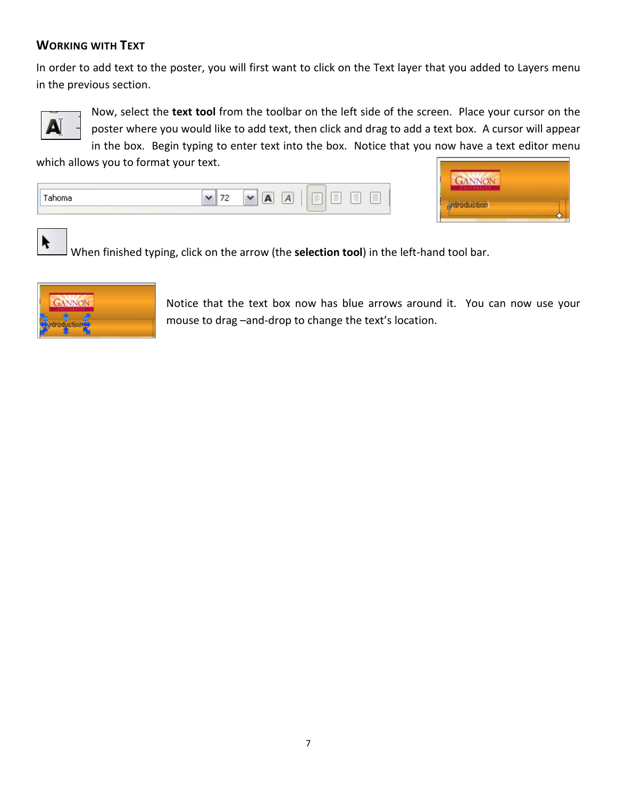# **WORKING WITH TEXT**

In order to add text to the poster, you will first want to click on the Text layer that you added to Layers menu in the previous section.



K

Now, select the **text tool** from the toolbar on the left side of the screen. Place your cursor on the poster where you would like to add text, then click and drag to add a text box. A cursor will appear in the box. Begin typing to enter text into the box. Notice that you now have a text editor menu

which allows you to format your text.





When finished typing, click on the arrow (the **selection tool**) in the left-hand tool bar.



Notice that the text box now has blue arrows around it. You can now use your mouse to drag –and-drop to change the text's location.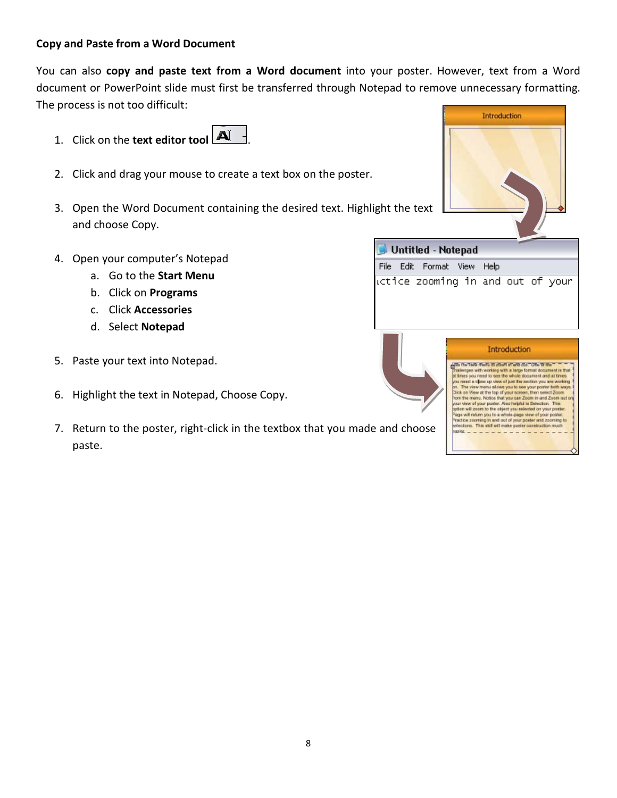#### **Copy and Paste from a Word Document**

You can also **copy and paste text from a Word document** into your poster. However, text from a Word document or PowerPoint slide must first be transferred through Notepad to remove unnecessary formatting. The process is not too difficult:

- 1. Click on the **text editor tool**  $\boxed{\mathbf{A}^{\mathsf{T}}}$
- 2. Click and drag your mouse to create a text box on the poster.
- 3. Open the Word Document containing the desired text. Highlight the text and choose Copy.
- 4. Open your computer's Notepad
	- a. Go to the **Start Menu**
	- b. Click on **Programs**
	- c. Click **Accessories**
	- d. Select **Notepad**
- 5. Paste your text into Notepad.
- 6. Highlight the text in Notepad, Choose Copy.
- 7. Return to the poster, right-click in the textbox that you made and choose paste.



|           | <b>Introduction</b>                                                                                                                                                                                                                                                                                                                                                                                                                                                                                                                                                                                                              |
|-----------|----------------------------------------------------------------------------------------------------------------------------------------------------------------------------------------------------------------------------------------------------------------------------------------------------------------------------------------------------------------------------------------------------------------------------------------------------------------------------------------------------------------------------------------------------------------------------------------------------------------------------------|
|           | with the visit meth in chart share did. One is the<br>challenges with working with a large format document is that<br>or fires you need to see the whole document and at times.<br>you need a close up year of just the section you are working<br>on. The view menu allows you to see your poster both ways.<br>Dick on View at the top of your screen, then select Zoom.<br>from the menu. Notice that you can Zoom in and Zoom out or<br>your view of your poster. Also height is Selection. This<br>asson will goots to the object you selected on your poster.<br>Page will return you to a whole-page view of your poster. |
| nd choose | Tractice asserting in and suit of your poster and zooming to<br>selections. This skill will make poster construction much<br>185 KK                                                                                                                                                                                                                                                                                                                                                                                                                                                                                              |

Untitled - Notepad

File Edit Format View Help

ictice zooming in and out of your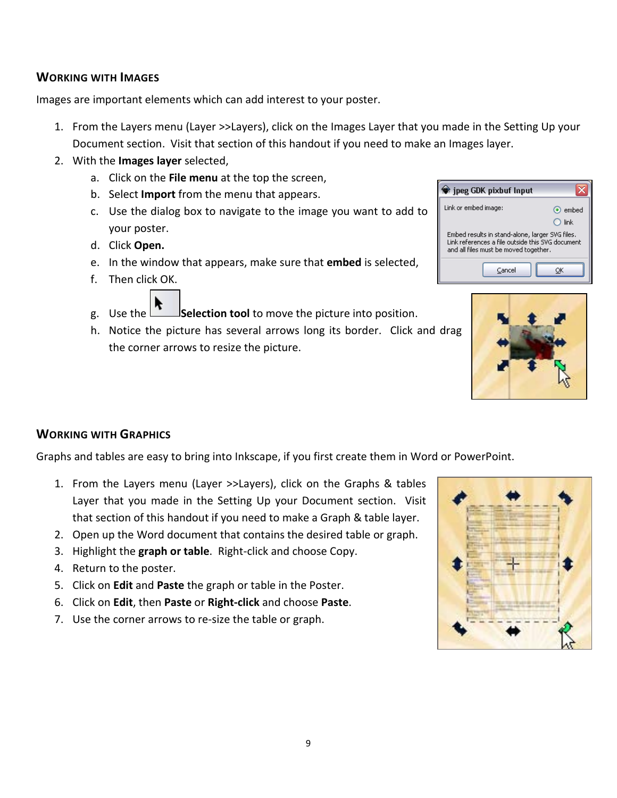## **WORKING WITH IMAGES**

Images are important elements which can add interest to your poster.

- 1. From the Layers menu (Layer >>Layers), click on the Images Layer that you made in the Setting Up your Document section. Visit that section of this handout if you need to make an Images layer.
- 2. With the **Images layer** selected,
	- a. Click on the **File menu** at the top the screen,
	- b. Select **Import** from the menu that appears.
	- c. Use the dialog box to navigate to the image you want to add to your poster.
	- d. Click **Open.**
	- e. In the window that appears, make sure that **embed** is selected,
	- f. Then click OK.
	- g. Use the **Selection tool** to move the picture into position.
	- h. Notice the picture has several arrows long its border. Click and drag the corner arrows to resize the picture.

| # jpeg GDK pixbuf Input                                                                                                                      |               |  |  |
|----------------------------------------------------------------------------------------------------------------------------------------------|---------------|--|--|
| Link or embed image:                                                                                                                         | $\odot$ embed |  |  |
|                                                                                                                                              | link          |  |  |
| Embed results in stand-alone, larger SVG files.<br>Link references a file outside this SVG document<br>and all files must be moved together. |               |  |  |
| Cancel                                                                                                                                       |               |  |  |



## **WORKING WITH GRAPHICS**

Graphs and tables are easy to bring into Inkscape, if you first create them in Word or PowerPoint.

- 1. From the Layers menu (Layer >>Layers), click on the Graphs & tables Layer that you made in the Setting Up your Document section. Visit that section of this handout if you need to make a Graph & table layer.
- 2. Open up the Word document that contains the desired table or graph.
- 3. Highlight the **graph or table**. Right-click and choose Copy.
- 4. Return to the poster.
- 5. Click on **Edit** and **Paste** the graph or table in the Poster.
- 6. Click on **Edit**, then **Paste** or **Right-click** and choose **Paste**.
- 7. Use the corner arrows to re-size the table or graph.

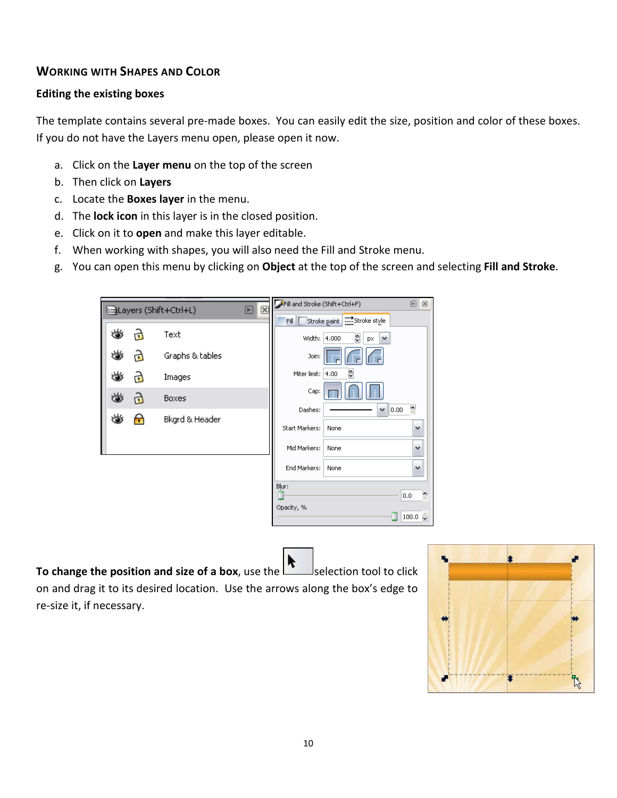## **WORKING WITH SHAPES AND COLOR**

#### **Editing the existing boxes**

The template contains several pre-made boxes. You can easily edit the size, position and color of these boxes. If you do not have the Layers menu open, please open it now.

- a. Click on the **Layer menu** on the top of the screen
- b. Then click on **Layers**
- c. Locate the **Boxes layer** in the menu.
- d. The **lock icon** in this layer is in the closed position.
- e. Click on it to **open** and make this layer editable.
- f. When working with shapes, you will also need the Fill and Stroke menu.
- g. You can open this menu by clicking on **Object** at the top of the screen and selecting **Fill and Stroke**.

| $\boxtimes$<br>Layers (Shift+Ctrl+L)<br>E |    |   | Fill and Stroke (Shift+Ctrl+F) |  | ▣<br>$\boxtimes$ |                             |              |
|-------------------------------------------|----|---|--------------------------------|--|------------------|-----------------------------|--------------|
|                                           |    |   |                                |  | Fill             | Stroke paint Etheroke style |              |
|                                           | 幽  | ₫ | Text                           |  | Width: 4.000     | ₿<br>px                     |              |
|                                           | ♨  | ₫ | Graphs & tables                |  | Join:            |                             |              |
|                                           | ₩  | ₫ | Images                         |  | Miter limit:     | ₿<br>4.00                   |              |
|                                           | ৬১ | ට | Boxes                          |  | Cap:             |                             |              |
|                                           | ری | Ħ | Bkgrd & Header                 |  | Dashes:          | $\ 0.00$<br>٧               | 싄            |
|                                           |    |   |                                |  | Start Markers:   | None                        | $\checkmark$ |
|                                           |    |   |                                |  | Mid Markers:     | None                        | v            |
|                                           |    |   |                                |  | End Markers:     | None                        | $\checkmark$ |
|                                           |    |   |                                |  | Blur:            |                             | Ģ<br>0.0     |
|                                           |    |   |                                |  | Opacity, %       |                             |              |
|                                           |    |   |                                |  |                  |                             | 100.0<br>ŵ   |

**To change the position and size of a box**, use the selection tool to click on and drag it to its desired location. Use the arrows along the box's edge to re-size it, if necessary.

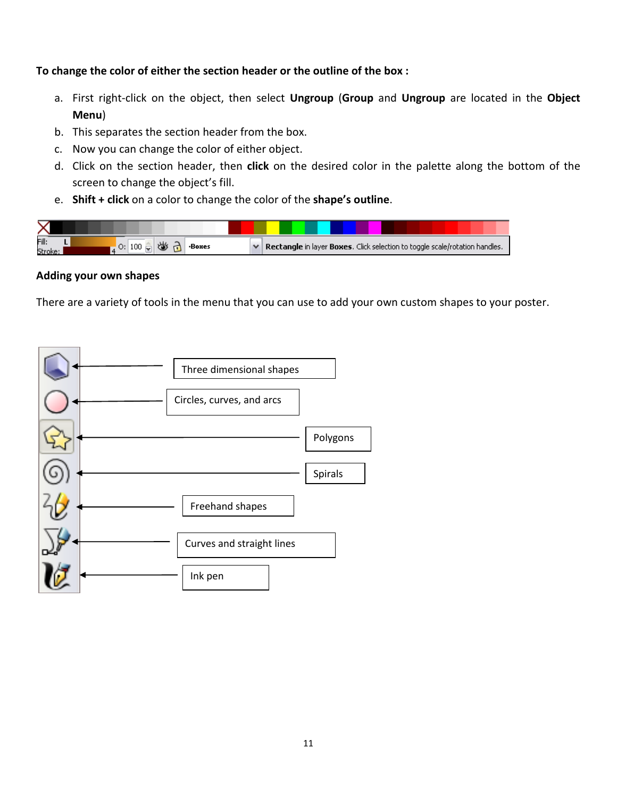**To change the color of either the section header or the outline of the box :**

- a. First right-click on the object, then select **Ungroup** (**Group** and **Ungroup** are located in the **Object Menu**)
- b. This separates the section header from the box.
- c. Now you can change the color of either object.
- d. Click on the section header, then **click** on the desired color in the palette along the bottom of the screen to change the object's fill.
- e. **Shift + click** on a color to change the color of the **shape's outline**.



#### **Adding your own shapes**

There are a variety of tools in the menu that you can use to add your own custom shapes to your poster.